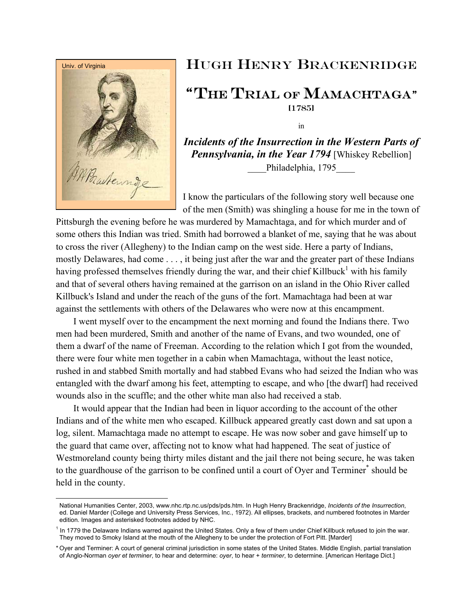

 $\overline{a}$ 

## Hugh Henry Brackenridge "The Trial of Mamachtaga" [1785]

in

*Incidents of the Insurrection in the Western Parts of Pennsylvania, in the Year 1794* [Whiskey Rebellion] Philadelphia, 1795

I know the particulars of the following story well because one of the men (Smith) was shingling a house for me in the town of

Pittsburgh the evening before he was murdered by Mamachtaga, and for which murder and of some others this Indian was tried. Smith had borrowed a blanket of me, saying that he was about to cross the river (Allegheny) to the Indian camp on the west side. Here a party of Indians, mostly Delawares, had come . . . , it being just after the war and the greater part of these Indians having professed themselves friendly during the war, and their chief Killbuck<sup>1</sup> with his family and that of several others having remained at the garrison on an island in the Ohio River called Killbuck's Island and under the reach of the guns of the fort. Mamachtaga had been at war against the settlements with others of the Delawares who were now at this encampment.

 I went myself over to the encampment the next morning and found the Indians there. Two men had been murdered, Smith and another of the name of Evans, and two wounded, one of them a dwarf of the name of Freeman. According to the relation which I got from the wounded, there were four white men together in a cabin when Mamachtaga, without the least notice, rushed in and stabbed Smith mortally and had stabbed Evans who had seized the Indian who was entangled with the dwarf among his feet, attempting to escape, and who [the dwarf] had received wounds also in the scuffle; and the other white man also had received a stab.

 It would appear that the Indian had been in liquor according to the account of the other Indians and of the white men who escaped. Killbuck appeared greatly cast down and sat upon a log, silent. Mamachtaga made no attempt to escape. He was now sober and gave himself up to the guard that came over, affecting not to know what had happened. The seat of justice of Westmoreland county being thirty miles distant and the jail there not being secure, he was taken to the guardhouse of the garrison to be confined until a court of Oyer and Terminer<sup>\*</sup> should be held in the county.

<sup>\*</sup> National Humanities Center, 2003, www.nhc.rtp.nc.us/pds/pds.htm. In Hugh Henry Brackenridge, *Incidents of the Insurrection*, ed. Daniel Marder (College and University Press Services, Inc., 1972). All ellipses, brackets, and numbered footnotes in Marder edition. Images and asterisked footnotes added by NHC.

<sup>&</sup>lt;sup>1</sup> In 1779 the Delaware Indians warred against the United States. Only a few of them under Chief Killbuck refused to join the war. They moved to Smoky Island at the mouth of the Allegheny to be under the protection of Fort Pitt. [Marder]

<sup>\*</sup> Oyer and Terminer: A court of general criminal jurisdiction in some states of the United States. Middle English, partial translation of Anglo-Norman *oyer et terminer*, to hear and determine: *oyer*, to hear + *terminer*, to determine. [American Heritage Dict.]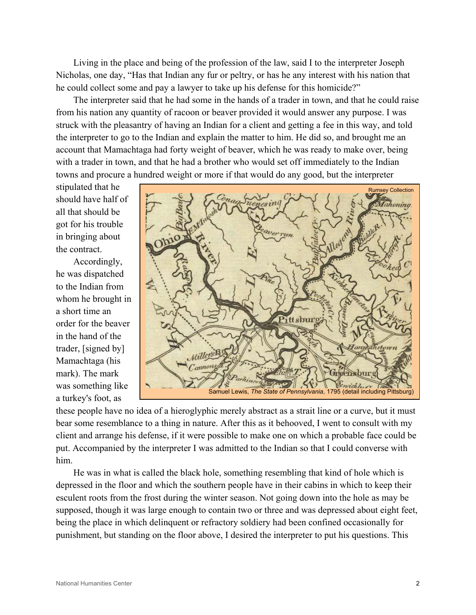Living in the place and being of the profession of the law, said I to the interpreter Joseph Nicholas, one day, "Has that Indian any fur or peltry, or has he any interest with his nation that he could collect some and pay a lawyer to take up his defense for this homicide?"

 The interpreter said that he had some in the hands of a trader in town, and that he could raise from his nation any quantity of racoon or beaver provided it would answer any purpose. I was struck with the pleasantry of having an Indian for a client and getting a fee in this way, and told the interpreter to go to the Indian and explain the matter to him. He did so, and brought me an account that Mamachtaga had forty weight of beaver, which he was ready to make over, being with a trader in town, and that he had a brother who would set off immediately to the Indian towns and procure a hundred weight or more if that would do any good, but the interpreter

stipulated that he should have half of all that should be got for his trouble in bringing about the contract.

 Accordingly, he was dispatched to the Indian from whom he brought in a short time an order for the beaver in the hand of the trader, [signed by] Mamachtaga (his mark). The mark was something like a turkey's foot, as



these people have no idea of a hieroglyphic merely abstract as a strait line or a curve, but it must bear some resemblance to a thing in nature. After this as it behooved, I went to consult with my client and arrange his defense, if it were possible to make one on which a probable face could be put. Accompanied by the interpreter I was admitted to the Indian so that I could converse with him.

 He was in what is called the black hole, something resembling that kind of hole which is depressed in the floor and which the southern people have in their cabins in which to keep their esculent roots from the frost during the winter season. Not going down into the hole as may be supposed, though it was large enough to contain two or three and was depressed about eight feet, being the place in which delinquent or refractory soldiery had been confined occasionally for punishment, but standing on the floor above, I desired the interpreter to put his questions. This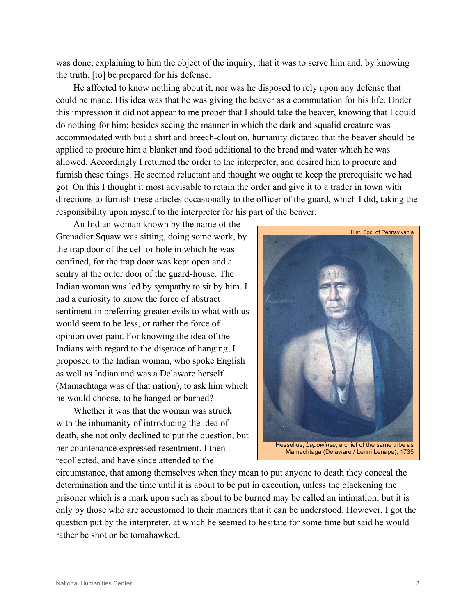was done, explaining to him the object of the inquiry, that it was to serve him and, by knowing the truth, [to] be prepared for his defense.

 He affected to know nothing about it, nor was he disposed to rely upon any defense that could be made. His idea was that he was giving the beaver as a commutation for his life. Under this impression it did not appear to me proper that I should take the beaver, knowing that I could do nothing for him; besides seeing the manner in which the dark and squalid creature was accommodated with but a shirt and breech-clout on, humanity dictated that the beaver should be applied to procure him a blanket and food additional to the bread and water which he was allowed. Accordingly I returned the order to the interpreter, and desired him to procure and furnish these things. He seemed reluctant and thought we ought to keep the prerequisite we had got. On this I thought it most advisable to retain the order and give it to a trader in town with directions to furnish these articles occasionally to the officer of the guard, which I did, taking the responsibility upon myself to the interpreter for his part of the beaver.

 An Indian woman known by the name of the Grenadier Squaw was sitting, doing some work, by the trap door of the cell or hole in which he was confined, for the trap door was kept open and a sentry at the outer door of the guard-house. The Indian woman was led by sympathy to sit by him. I had a curiosity to know the force of abstract sentiment in preferring greater evils to what with us would seem to be less, or rather the force of opinion over pain. For knowing the idea of the Indians with regard to the disgrace of hanging, I proposed to the Indian woman, who spoke English as well as Indian and was a Delaware herself (Mamachtaga was of that nation), to ask him which he would choose, to be hanged or burned?

 Whether it was that the woman was struck with the inhumanity of introducing the idea of death, she not only declined to put the question, but her countenance expressed resentment. I then recollected, and have since attended to the



circumstance, that among themselves when they mean to put anyone to death they conceal the determination and the time until it is about to be put in execution, unless the blackening the prisoner which is a mark upon such as about to be burned may be called an intimation; but it is only by those who are accustomed to their manners that it can be understood. However, I got the question put by the interpreter, at which he seemed to hesitate for some time but said he would rather be shot or be tomahawked.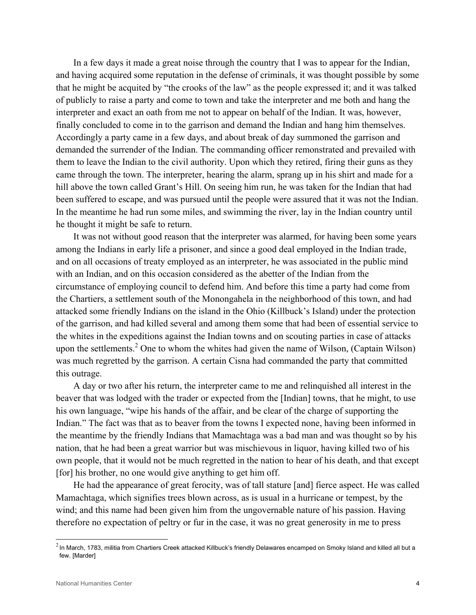In a few days it made a great noise through the country that I was to appear for the Indian, and having acquired some reputation in the defense of criminals, it was thought possible by some that he might be acquited by "the crooks of the law" as the people expressed it; and it was talked of publicly to raise a party and come to town and take the interpreter and me both and hang the interpreter and exact an oath from me not to appear on behalf of the Indian. It was, however, finally concluded to come in to the garrison and demand the Indian and hang him themselves. Accordingly a party came in a few days, and about break of day summoned the garrison and demanded the surrender of the Indian. The commanding officer remonstrated and prevailed with them to leave the Indian to the civil authority. Upon which they retired, firing their guns as they came through the town. The interpreter, hearing the alarm, sprang up in his shirt and made for a hill above the town called Grant's Hill. On seeing him run, he was taken for the Indian that had been suffered to escape, and was pursued until the people were assured that it was not the Indian. In the meantime he had run some miles, and swimming the river, lay in the Indian country until he thought it might be safe to return.

 It was not without good reason that the interpreter was alarmed, for having been some years among the Indians in early life a prisoner, and since a good deal employed in the Indian trade, and on all occasions of treaty employed as an interpreter, he was associated in the public mind with an Indian, and on this occasion considered as the abetter of the Indian from the circumstance of employing council to defend him. And before this time a party had come from the Chartiers, a settlement south of the Monongahela in the neighborhood of this town, and had attacked some friendly Indians on the island in the Ohio (Killbuck's Island) under the protection of the garrison, and had killed several and among them some that had been of essential service to the whites in the expeditions against the Indian towns and on scouting parties in case of attacks upon the settlements. $^{2}$  One to whom the whites had given the name of Wilson, (Captain Wilson) was much regretted by the garrison. A certain Cisna had commanded the party that committed this outrage.

 A day or two after his return, the interpreter came to me and relinquished all interest in the beaver that was lodged with the trader or expected from the [Indian] towns, that he might, to use his own language, "wipe his hands of the affair, and be clear of the charge of supporting the Indian." The fact was that as to beaver from the towns I expected none, having been informed in the meantime by the friendly Indians that Mamachtaga was a bad man and was thought so by his nation, that he had been a great warrior but was mischievous in liquor, having killed two of his own people, that it would not be much regretted in the nation to hear of his death, and that except [for] his brother, no one would give anything to get him off.

 He had the appearance of great ferocity, was of tall stature [and] fierce aspect. He was called Mamachtaga, which signifies trees blown across, as is usual in a hurricane or tempest, by the wind; and this name had been given him from the ungovernable nature of his passion. Having therefore no expectation of peltry or fur in the case, it was no great generosity in me to press

 $\overline{a}$ 

 $^{2}$  In March, 1783, militia from Chartiers Creek attacked Killbuck's friendly Delawares encamped on Smoky Island and killed all but a few. [Marder]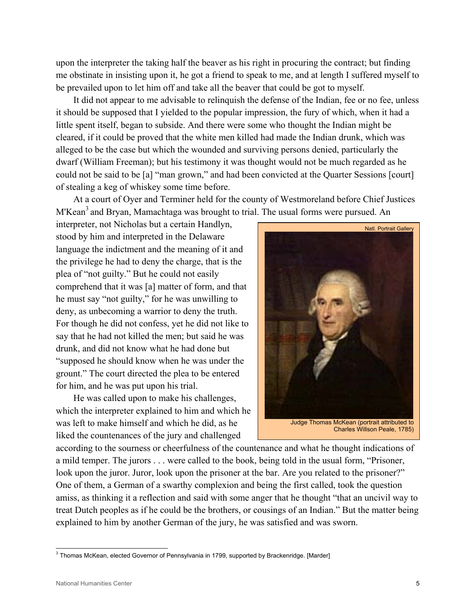upon the interpreter the taking half the beaver as his right in procuring the contract; but finding me obstinate in insisting upon it, he got a friend to speak to me, and at length I suffered myself to be prevailed upon to let him off and take all the beaver that could be got to myself.

 It did not appear to me advisable to relinquish the defense of the Indian, fee or no fee, unless it should be supposed that I yielded to the popular impression, the fury of which, when it had a little spent itself, began to subside. And there were some who thought the Indian might be cleared, if it could be proved that the white men killed had made the Indian drunk, which was alleged to be the case but which the wounded and surviving persons denied, particularly the dwarf (William Freeman); but his testimony it was thought would not be much regarded as he could not be said to be [a] "man grown," and had been convicted at the Quarter Sessions [court] of stealing a keg of whiskey some time before.

 At a court of Oyer and Terminer held for the county of Westmoreland before Chief Justices M'Kean<sup>3</sup> and Bryan, Mamachtaga was brought to trial. The usual forms were pursued. An

interpreter, not Nicholas but a certain Handlyn, stood by him and interpreted in the Delaware language the indictment and the meaning of it and the privilege he had to deny the charge, that is the plea of "not guilty." But he could not easily comprehend that it was [a] matter of form, and that he must say "not guilty," for he was unwilling to deny, as unbecoming a warrior to deny the truth. For though he did not confess, yet he did not like to say that he had not killed the men; but said he was drunk, and did not know what he had done but "supposed he should know when he was under the grount." The court directed the plea to be entered for him, and he was put upon his trial.

 He was called upon to make his challenges, which the interpreter explained to him and which he was left to make himself and which he did, as he liked the countenances of the jury and challenged



according to the sourness or cheerfulness of the countenance and what he thought indications of a mild temper. The jurors . . . were called to the book, being told in the usual form, "Prisoner, look upon the juror. Juror, look upon the prisoner at the bar. Are you related to the prisoner?" One of them, a German of a swarthy complexion and being the first called, took the question amiss, as thinking it a reflection and said with some anger that he thought "that an uncivil way to treat Dutch peoples as if he could be the brothers, or cousings of an Indian." But the matter being explained to him by another German of the jury, he was satisfied and was sworn.

 3 Thomas McKean, elected Governor of Pennsylvania in 1799, supported by Brackenridge. [Marder]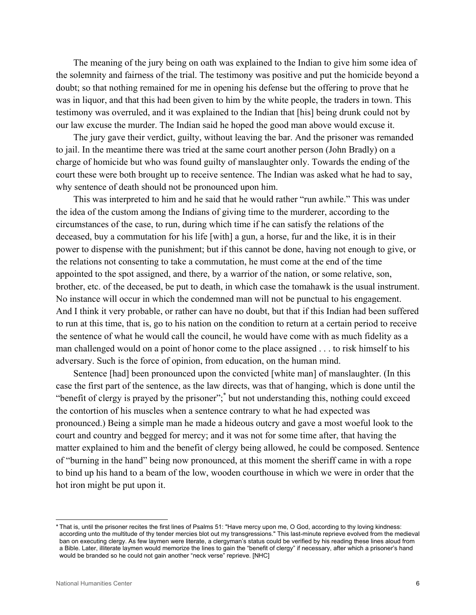The meaning of the jury being on oath was explained to the Indian to give him some idea of the solemnity and fairness of the trial. The testimony was positive and put the homicide beyond a doubt; so that nothing remained for me in opening his defense but the offering to prove that he was in liquor, and that this had been given to him by the white people, the traders in town. This testimony was overruled, and it was explained to the Indian that [his] being drunk could not by our law excuse the murder. The Indian said he hoped the good man above would excuse it.

 The jury gave their verdict, guilty, without leaving the bar. And the prisoner was remanded to jail. In the meantime there was tried at the same court another person (John Bradly) on a charge of homicide but who was found guilty of manslaughter only. Towards the ending of the court these were both brought up to receive sentence. The Indian was asked what he had to say, why sentence of death should not be pronounced upon him.

 This was interpreted to him and he said that he would rather "run awhile." This was under the idea of the custom among the Indians of giving time to the murderer, according to the circumstances of the case, to run, during which time if he can satisfy the relations of the deceased, buy a commutation for his life [with] a gun, a horse, fur and the like, it is in their power to dispense with the punishment; but if this cannot be done, having not enough to give, or the relations not consenting to take a commutation, he must come at the end of the time appointed to the spot assigned, and there, by a warrior of the nation, or some relative, son, brother, etc. of the deceased, be put to death, in which case the tomahawk is the usual instrument. No instance will occur in which the condemned man will not be punctual to his engagement. And I think it very probable, or rather can have no doubt, but that if this Indian had been suffered to run at this time, that is, go to his nation on the condition to return at a certain period to receive the sentence of what he would call the council, he would have come with as much fidelity as a man challenged would on a point of honor come to the place assigned . . . to risk himself to his adversary. Such is the force of opinion, from education, on the human mind.

 Sentence [had] been pronounced upon the convicted [white man] of manslaughter. (In this case the first part of the sentence, as the law directs, was that of hanging, which is done until the "benefit of clergy is prayed by the prisoner";<sup>\*</sup> but not understanding this, nothing could exceed the contortion of his muscles when a sentence contrary to what he had expected was pronounced.) Being a simple man he made a hideous outcry and gave a most woeful look to the court and country and begged for mercy; and it was not for some time after, that having the matter explained to him and the benefit of clergy being allowed, he could be composed. Sentence of "burning in the hand" being now pronounced, at this moment the sheriff came in with a rope to bind up his hand to a beam of the low, wooden courthouse in which we were in order that the hot iron might be put upon it.

 $\overline{a}$ 

<sup>\*</sup> That is, until the prisoner recites the first lines of Psalms 51: "Have mercy upon me, O God, according to thy loving kindness: according unto the multitude of thy tender mercies blot out my transgressions." This last-minute reprieve evolved from the medieval ban on executing clergy. As few laymen were literate, a clergyman's status could be verified by his reading these lines aloud from a Bible. Later, illiterate laymen would memorize the lines to gain the "benefit of clergy" if necessary, after which a prisoner's hand would be branded so he could not gain another "neck verse" reprieve. [NHC]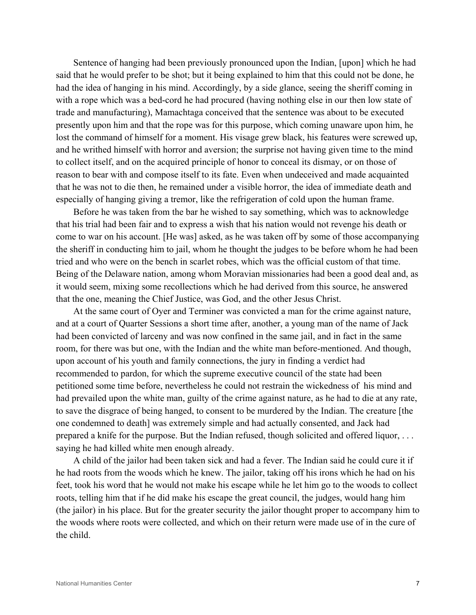Sentence of hanging had been previously pronounced upon the Indian, [upon] which he had said that he would prefer to be shot; but it being explained to him that this could not be done, he had the idea of hanging in his mind. Accordingly, by a side glance, seeing the sheriff coming in with a rope which was a bed-cord he had procured (having nothing else in our then low state of trade and manufacturing), Mamachtaga conceived that the sentence was about to be executed presently upon him and that the rope was for this purpose, which coming unaware upon him, he lost the command of himself for a moment. His visage grew black, his features were screwed up, and he writhed himself with horror and aversion; the surprise not having given time to the mind to collect itself, and on the acquired principle of honor to conceal its dismay, or on those of reason to bear with and compose itself to its fate. Even when undeceived and made acquainted that he was not to die then, he remained under a visible horror, the idea of immediate death and especially of hanging giving a tremor, like the refrigeration of cold upon the human frame.

 Before he was taken from the bar he wished to say something, which was to acknowledge that his trial had been fair and to express a wish that his nation would not revenge his death or come to war on his account. [He was] asked, as he was taken off by some of those accompanying the sheriff in conducting him to jail, whom he thought the judges to be before whom he had been tried and who were on the bench in scarlet robes, which was the official custom of that time. Being of the Delaware nation, among whom Moravian missionaries had been a good deal and, as it would seem, mixing some recollections which he had derived from this source, he answered that the one, meaning the Chief Justice, was God, and the other Jesus Christ.

 At the same court of Oyer and Terminer was convicted a man for the crime against nature, and at a court of Quarter Sessions a short time after, another, a young man of the name of Jack had been convicted of larceny and was now confined in the same jail, and in fact in the same room, for there was but one, with the Indian and the white man before-mentioned. And though, upon account of his youth and family connections, the jury in finding a verdict had recommended to pardon, for which the supreme executive council of the state had been petitioned some time before, nevertheless he could not restrain the wickedness of his mind and had prevailed upon the white man, guilty of the crime against nature, as he had to die at any rate, to save the disgrace of being hanged, to consent to be murdered by the Indian. The creature [the one condemned to death] was extremely simple and had actually consented, and Jack had prepared a knife for the purpose. But the Indian refused, though solicited and offered liquor, . . . saying he had killed white men enough already.

 A child of the jailor had been taken sick and had a fever. The Indian said he could cure it if he had roots from the woods which he knew. The jailor, taking off his irons which he had on his feet, took his word that he would not make his escape while he let him go to the woods to collect roots, telling him that if he did make his escape the great council, the judges, would hang him (the jailor) in his place. But for the greater security the jailor thought proper to accompany him to the woods where roots were collected, and which on their return were made use of in the cure of the child.